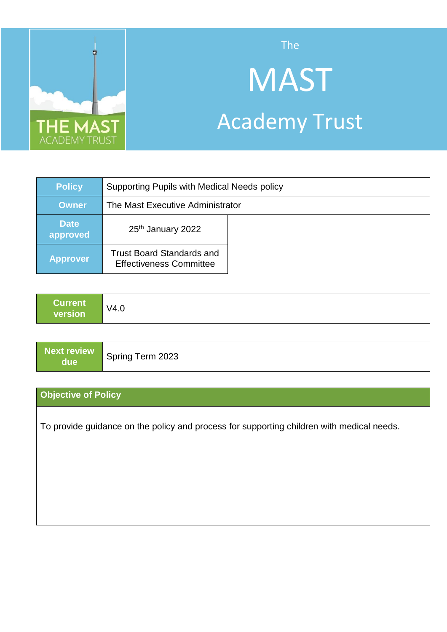

The

# **MAST** Academy Trust

| <b>Policy</b>           | Supporting Pupils with Medical Needs policy                        |  |
|-------------------------|--------------------------------------------------------------------|--|
| <b>Owner</b>            | The Mast Executive Administrator                                   |  |
| <b>Date</b><br>approved | 25 <sup>th</sup> January 2022                                      |  |
| <b>Approver</b>         | <b>Trust Board Standards and</b><br><b>Effectiveness Committee</b> |  |

| ∣Current⊺<br>V4.0<br>version |
|------------------------------|
|------------------------------|

| due | Next review Spring Term 2023 |
|-----|------------------------------|
|     |                              |
|     |                              |

# **Objective of Policy**

To provide guidance on the policy and process for supporting children with medical needs.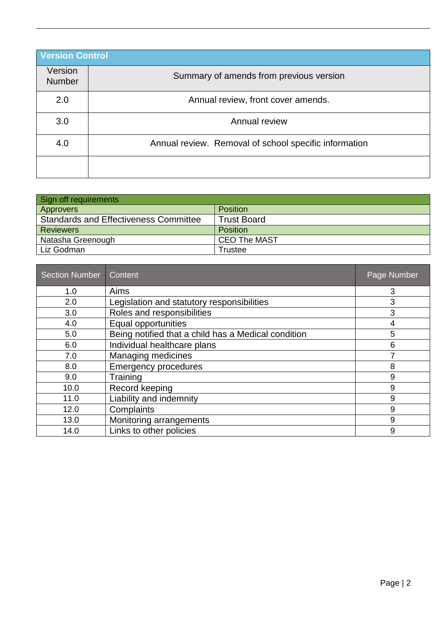| <b>Version Control</b>   |                                                       |  |  |
|--------------------------|-------------------------------------------------------|--|--|
| Version<br><b>Number</b> | Summary of amends from previous version               |  |  |
| 2.0                      | Annual review, front cover amends.                    |  |  |
| 3.0                      | Annual review                                         |  |  |
| 4.0                      | Annual review. Removal of school specific information |  |  |
|                          |                                                       |  |  |

| Sign off requirements                        |                     |  |  |  |
|----------------------------------------------|---------------------|--|--|--|
| Approvers                                    | <b>Position</b>     |  |  |  |
| <b>Standards and Effectiveness Committee</b> | <b>Trust Board</b>  |  |  |  |
| <b>Reviewers</b>                             | <b>Position</b>     |  |  |  |
| Natasha Greenough                            | <b>CEO The MAST</b> |  |  |  |
| Liz Godman                                   | Trustee             |  |  |  |

| <b>Section Number</b> | Content                                             | Page Number |
|-----------------------|-----------------------------------------------------|-------------|
| 1.0                   | Aims                                                | 3           |
| 2.0                   | Legislation and statutory responsibilities          | 3           |
| 3.0                   | Roles and responsibilities                          | 3           |
| 4.0                   | Equal opportunities                                 | 4           |
| 5.0                   | Being notified that a child has a Medical condition | 5           |
| 6.0                   | Individual healthcare plans                         | 6           |
| 7.0                   | <b>Managing medicines</b>                           | 7           |
| 8.0                   | <b>Emergency procedures</b>                         | 8           |
| 9.0                   | Training                                            | 9           |
| 10.0                  | Record keeping                                      | 9           |
| 11.0                  | Liability and indemnity                             | 9           |
| 12.0                  | Complaints                                          | 9           |
| 13.0                  | Monitoring arrangements                             | 9           |
| 14.0                  | Links to other policies                             | 9           |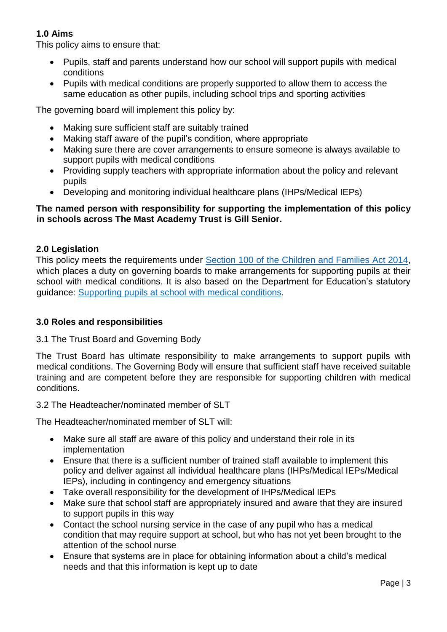# **1.0 Aims**

This policy aims to ensure that:

- Pupils, staff and parents understand how our school will support pupils with medical conditions
- Pupils with medical conditions are properly supported to allow them to access the same education as other pupils, including school trips and sporting activities

The governing board will implement this policy by:

- Making sure sufficient staff are suitably trained
- Making staff aware of the pupil's condition, where appropriate
- Making sure there are cover arrangements to ensure someone is always available to support pupils with medical conditions
- Providing supply teachers with appropriate information about the policy and relevant pupils
- Developing and monitoring individual healthcare plans (IHPs/Medical IEPs)

# **The named person with responsibility for supporting the implementation of this policy in schools across The Mast Academy Trust is Gill Senior.**

# **2.0 Legislation**

This policy meets the requirements under [Section 100 of the Children and Families Act 2014,](http://www.legislation.gov.uk/ukpga/2014/6/part/5/crossheading/pupils-with-medical-conditions) which places a duty on governing boards to make arrangements for supporting pupils at their school with medical conditions. It is also based on the Department for Education's statutory guidance: [Supporting pupils at school with medical](https://www.gov.uk/government/uploads/system/uploads/attachment_data/file/484418/supporting-pupils-at-school-with-medical-conditions.pdf) conditions.

# **3.0 Roles and responsibilities**

# 3.1 The Trust Board and Governing Body

The Trust Board has ultimate responsibility to make arrangements to support pupils with medical conditions. The Governing Body will ensure that sufficient staff have received suitable training and are competent before they are responsible for supporting children with medical conditions.

# 3.2 The Headteacher/nominated member of SLT

The Headteacher/nominated member of SLT will:

- Make sure all staff are aware of this policy and understand their role in its implementation
- Ensure that there is a sufficient number of trained staff available to implement this policy and deliver against all individual healthcare plans (IHPs/Medical IEPs/Medical IEPs), including in contingency and emergency situations
- Take overall responsibility for the development of IHPs/Medical IEPs
- Make sure that school staff are appropriately insured and aware that they are insured to support pupils in this way
- Contact the school nursing service in the case of any pupil who has a medical condition that may require support at school, but who has not yet been brought to the attention of the school nurse
- Ensure that systems are in place for obtaining information about a child's medical needs and that this information is kept up to date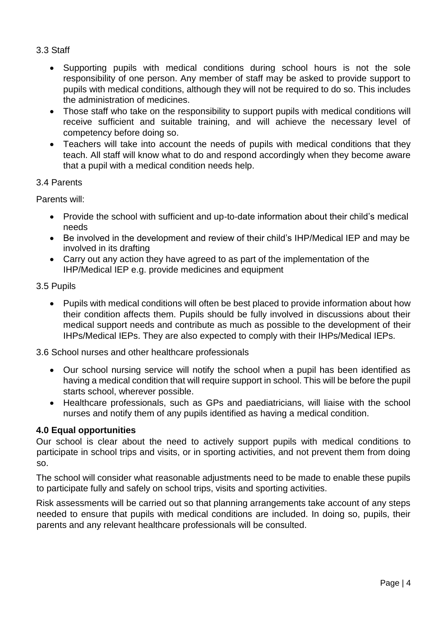# 3.3 Staff

- Supporting pupils with medical conditions during school hours is not the sole responsibility of one person. Any member of staff may be asked to provide support to pupils with medical conditions, although they will not be required to do so. This includes the administration of medicines.
- Those staff who take on the responsibility to support pupils with medical conditions will receive sufficient and suitable training, and will achieve the necessary level of competency before doing so.
- Teachers will take into account the needs of pupils with medical conditions that they teach. All staff will know what to do and respond accordingly when they become aware that a pupil with a medical condition needs help.

# 3.4 Parents

Parents will:

- Provide the school with sufficient and up-to-date information about their child's medical needs
- Be involved in the development and review of their child's IHP/Medical IEP and may be involved in its drafting
- Carry out any action they have agreed to as part of the implementation of the IHP/Medical IEP e.g. provide medicines and equipment

#### 3.5 Pupils

 Pupils with medical conditions will often be best placed to provide information about how their condition affects them. Pupils should be fully involved in discussions about their medical support needs and contribute as much as possible to the development of their IHPs/Medical IEPs. They are also expected to comply with their IHPs/Medical IEPs.

# 3.6 School nurses and other healthcare professionals

- Our school nursing service will notify the school when a pupil has been identified as having a medical condition that will require support in school. This will be before the pupil starts school, wherever possible.
- Healthcare professionals, such as GPs and paediatricians, will liaise with the school nurses and notify them of any pupils identified as having a medical condition.

# **4.0 Equal opportunities**

Our school is clear about the need to actively support pupils with medical conditions to participate in school trips and visits, or in sporting activities, and not prevent them from doing so.

The school will consider what reasonable adjustments need to be made to enable these pupils to participate fully and safely on school trips, visits and sporting activities.

Risk assessments will be carried out so that planning arrangements take account of any steps needed to ensure that pupils with medical conditions are included. In doing so, pupils, their parents and any relevant healthcare professionals will be consulted.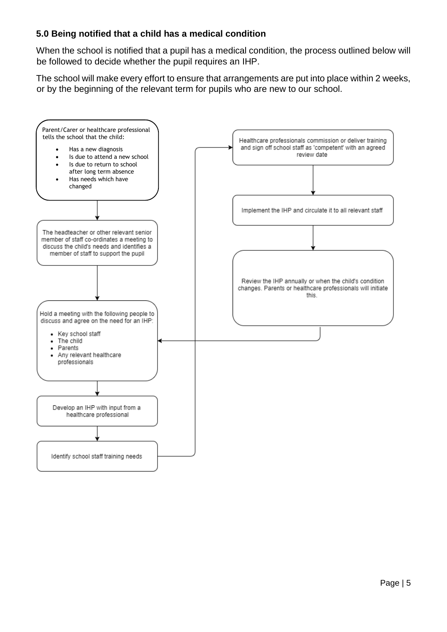# **5.0 Being notified that a child has a medical condition**

When the school is notified that a pupil has a medical condition, the process outlined below will be followed to decide whether the pupil requires an IHP.

The school will make every effort to ensure that arrangements are put into place within 2 weeks, or by the beginning of the relevant term for pupils who are new to our school.

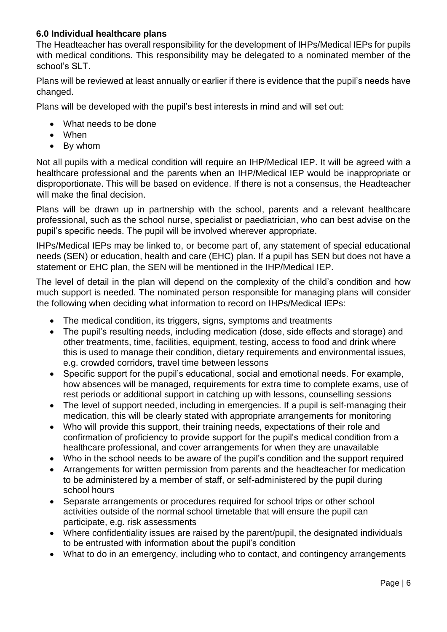# **6.0 Individual healthcare plans**

The Headteacher has overall responsibility for the development of IHPs/Medical IEPs for pupils with medical conditions. This responsibility may be delegated to a nominated member of the school's SLT.

Plans will be reviewed at least annually or earlier if there is evidence that the pupil's needs have changed.

Plans will be developed with the pupil's best interests in mind and will set out:

- What needs to be done
- When
- By whom

Not all pupils with a medical condition will require an IHP/Medical IEP. It will be agreed with a healthcare professional and the parents when an IHP/Medical IEP would be inappropriate or disproportionate. This will be based on evidence. If there is not a consensus, the Headteacher will make the final decision.

Plans will be drawn up in partnership with the school, parents and a relevant healthcare professional, such as the school nurse, specialist or paediatrician, who can best advise on the pupil's specific needs. The pupil will be involved wherever appropriate.

IHPs/Medical IEPs may be linked to, or become part of, any statement of special educational needs (SEN) or education, health and care (EHC) plan. If a pupil has SEN but does not have a statement or EHC plan, the SEN will be mentioned in the IHP/Medical IEP.

The level of detail in the plan will depend on the complexity of the child's condition and how much support is needed. The nominated person responsible for managing plans will consider the following when deciding what information to record on IHPs/Medical IEPs:

- The medical condition, its triggers, signs, symptoms and treatments
- The pupil's resulting needs, including medication (dose, side effects and storage) and other treatments, time, facilities, equipment, testing, access to food and drink where this is used to manage their condition, dietary requirements and environmental issues, e.g. crowded corridors, travel time between lessons
- Specific support for the pupil's educational, social and emotional needs. For example, how absences will be managed, requirements for extra time to complete exams, use of rest periods or additional support in catching up with lessons, counselling sessions
- The level of support needed, including in emergencies. If a pupil is self-managing their medication, this will be clearly stated with appropriate arrangements for monitoring
- Who will provide this support, their training needs, expectations of their role and confirmation of proficiency to provide support for the pupil's medical condition from a healthcare professional, and cover arrangements for when they are unavailable
- Who in the school needs to be aware of the pupil's condition and the support required
- Arrangements for written permission from parents and the headteacher for medication to be administered by a member of staff, or self-administered by the pupil during school hours
- Separate arrangements or procedures required for school trips or other school activities outside of the normal school timetable that will ensure the pupil can participate, e.g. risk assessments
- Where confidentiality issues are raised by the parent/pupil, the designated individuals to be entrusted with information about the pupil's condition
- What to do in an emergency, including who to contact, and contingency arrangements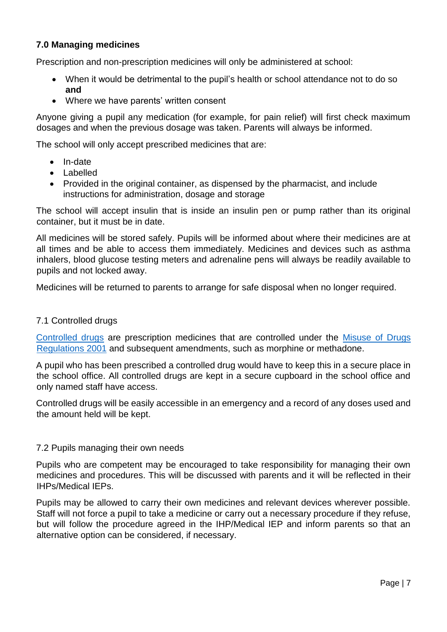# **7.0 Managing medicines**

Prescription and non-prescription medicines will only be administered at school:

- When it would be detrimental to the pupil's health or school attendance not to do so **and**
- Where we have parents' written consent

Anyone giving a pupil any medication (for example, for pain relief) will first check maximum dosages and when the previous dosage was taken. Parents will always be informed.

The school will only accept prescribed medicines that are:

- In-date
- Labelled
- Provided in the original container, as dispensed by the pharmacist, and include instructions for administration, dosage and storage

The school will accept insulin that is inside an insulin pen or pump rather than its original container, but it must be in date.

All medicines will be stored safely. Pupils will be informed about where their medicines are at all times and be able to access them immediately. Medicines and devices such as asthma inhalers, blood glucose testing meters and adrenaline pens will always be readily available to pupils and not locked away.

Medicines will be returned to parents to arrange for safe disposal when no longer required.

# 7.1 Controlled drugs

[Controlled drugs](http://www.nhs.uk/chq/Pages/1391.aspx?CategoryID=73) are prescription medicines that are controlled under the [Misuse of Drugs](http://www.legislation.gov.uk/uksi/2001/3998/schedule/1/made)  [Regulations 2001](http://www.legislation.gov.uk/uksi/2001/3998/schedule/1/made) and subsequent amendments, such as morphine or methadone.

A pupil who has been prescribed a controlled drug would have to keep this in a secure place in the school office. All controlled drugs are kept in a secure cupboard in the school office and only named staff have access.

Controlled drugs will be easily accessible in an emergency and a record of any doses used and the amount held will be kept.

# 7.2 Pupils managing their own needs

Pupils who are competent may be encouraged to take responsibility for managing their own medicines and procedures. This will be discussed with parents and it will be reflected in their IHPs/Medical IEPs.

Pupils may be allowed to carry their own medicines and relevant devices wherever possible. Staff will not force a pupil to take a medicine or carry out a necessary procedure if they refuse, but will follow the procedure agreed in the IHP/Medical IEP and inform parents so that an alternative option can be considered, if necessary.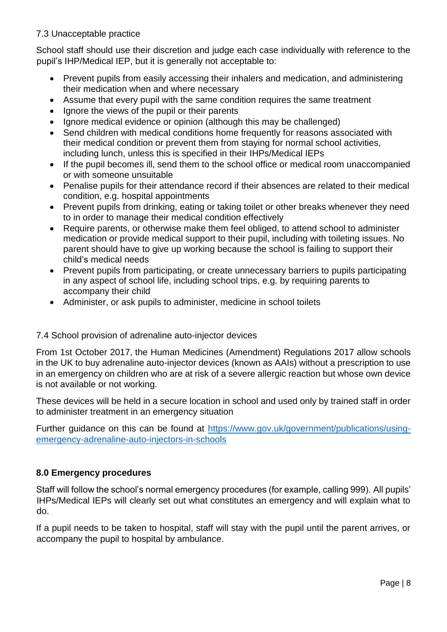# 7.3 Unacceptable practice

School staff should use their discretion and judge each case individually with reference to the pupil's IHP/Medical IEP, but it is generally not acceptable to:

- Prevent pupils from easily accessing their inhalers and medication, and administering their medication when and where necessary
- Assume that every pupil with the same condition requires the same treatment
- Ignore the views of the pupil or their parents
- Ignore medical evidence or opinion (although this may be challenged)
- Send children with medical conditions home frequently for reasons associated with their medical condition or prevent them from staying for normal school activities, including lunch, unless this is specified in their IHPs/Medical IEPs
- If the pupil becomes ill, send them to the school office or medical room unaccompanied or with someone unsuitable
- Penalise pupils for their attendance record if their absences are related to their medical condition, e.g. hospital appointments
- Prevent pupils from drinking, eating or taking toilet or other breaks whenever they need to in order to manage their medical condition effectively
- Require parents, or otherwise make them feel obliged, to attend school to administer medication or provide medical support to their pupil, including with toileting issues. No parent should have to give up working because the school is failing to support their child's medical needs
- Prevent pupils from participating, or create unnecessary barriers to pupils participating in any aspect of school life, including school trips, e.g. by requiring parents to accompany their child
- Administer, or ask pupils to administer, medicine in school toilets

# 7.4 School provision of adrenaline auto-injector devices

From 1st October 2017, [the Human Medicines \(Amendment\) Regulations 2017](http://www.legislation.gov.uk/uksi/2017/715/contents/made) allow schools in the UK to buy adrenaline auto-injector devices (known as AAIs) without a prescription to use in an emergency on children who are at risk of a severe allergic reaction but whose own device is not available or not working.

These devices will be held in a secure location in school and used only by trained staff in order to administer treatment in an emergency situation

Further guidance on this can be found at [https://www.gov.uk/government/publications/using](https://www.gov.uk/government/publications/using-emergency-adrenaline-auto-injectors-in-schools)[emergency-adrenaline-auto-injectors-in-schools](https://www.gov.uk/government/publications/using-emergency-adrenaline-auto-injectors-in-schools)

# **8.0 Emergency procedures**

Staff will follow the school's normal emergency procedures (for example, calling 999). All pupils' IHPs/Medical IEPs will clearly set out what constitutes an emergency and will explain what to do.

If a pupil needs to be taken to hospital, staff will stay with the pupil until the parent arrives, or accompany the pupil to hospital by ambulance.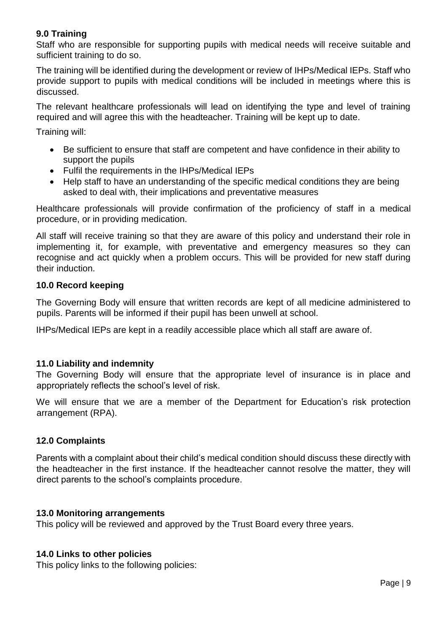# **9.0 Training**

Staff who are responsible for supporting pupils with medical needs will receive suitable and sufficient training to do so.

The training will be identified during the development or review of IHPs/Medical IEPs. Staff who provide support to pupils with medical conditions will be included in meetings where this is discussed.

The relevant healthcare professionals will lead on identifying the type and level of training required and will agree this with the headteacher. Training will be kept up to date.

Training will:

- Be sufficient to ensure that staff are competent and have confidence in their ability to support the pupils
- Fulfil the requirements in the IHPs/Medical IEPs
- Help staff to have an understanding of the specific medical conditions they are being asked to deal with, their implications and preventative measures

Healthcare professionals will provide confirmation of the proficiency of staff in a medical procedure, or in providing medication.

All staff will receive training so that they are aware of this policy and understand their role in implementing it, for example, with preventative and emergency measures so they can recognise and act quickly when a problem occurs. This will be provided for new staff during their induction.

# **10.0 Record keeping**

The Governing Body will ensure that written records are kept of all medicine administered to pupils. Parents will be informed if their pupil has been unwell at school.

IHPs/Medical IEPs are kept in a readily accessible place which all staff are aware of.

# **11.0 Liability and indemnity**

The Governing Body will ensure that the appropriate level of insurance is in place and appropriately reflects the school's level of risk.

We will ensure that we are a member of the Department for Education's risk protection arrangement (RPA).

# **12.0 Complaints**

Parents with a complaint about their child's medical condition should discuss these directly with the headteacher in the first instance. If the headteacher cannot resolve the matter, they will direct parents to the school's complaints procedure.

# **13.0 Monitoring arrangements**

This policy will be reviewed and approved by the Trust Board every three years.

# **14.0 Links to other policies**

This policy links to the following policies: